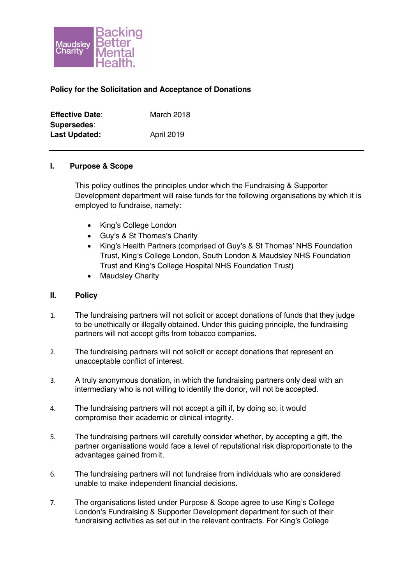

## **Policy for the Solicitation and Acceptance of Donations**

| <b>Effective Date:</b> | March 2018        |
|------------------------|-------------------|
| Supersedes:            |                   |
| <b>Last Updated:</b>   | <b>April 2019</b> |

## **I. Purpose & Scope**

This policy outlines the principles under which the Fundraising & Supporter Development department will raise funds for the following organisations by which it is employed to fundraise, namely:

- King's College London
- Guy's & St Thomas's Charity
- King's Health Partners (comprised of Guy's & St Thomas' NHS Foundation Trust, King's College London, South London & Maudsley NHS Foundation Trust and King's College Hospital NHS Foundation Trust)
- Maudsley Charity

## **II. Policy**

- 1. The fundraising partners will not solicit or accept donations of funds that they judge to be unethically or illegally obtained. Under this guiding principle, the fundraising partners will not accept gifts from tobacco companies.
- 2. The fundraising partners will not solicit or accept donations that represent an unacceptable conflict of interest.
- 3. A truly anonymous donation, in which the fundraising partners only deal with an intermediary who is not willing to identify the donor, will not be accepted.
- 4. The fundraising partners will not accept a gift if, by doing so, it would compromise their academic or clinical integrity.
- 5. The fundraising partners will carefully consider whether, by accepting a gift, the partner organisations would face a level of reputational risk disproportionate to the advantages gained from it.
- 6. The fundraising partners will not fundraise from individuals who are considered unable to make independent financial decisions.
- 7. The organisations listed under Purpose & Scope agree to use King's College London's Fundraising & Supporter Development department for such of their fundraising activities as set out in the relevant contracts. For King's College